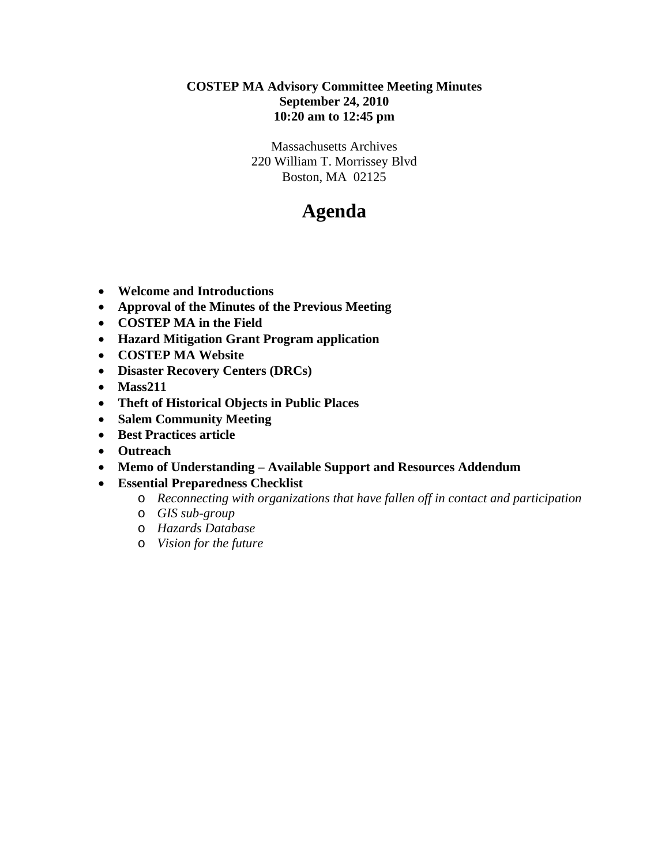## **COSTEP MA Advisory Committee Meeting Minutes September 24, 2010 10:20 am to 12:45 pm**

Massachusetts Archives 220 William T. Morrissey Blvd Boston, MA 02125

# **Agenda**

- **Welcome and Introductions**
- **Approval of the Minutes of the Previous Meeting**
- **COSTEP MA in the Field**
- **Hazard Mitigation Grant Program application**
- **COSTEP MA Website**
- **Disaster Recovery Centers (DRCs)**
- **Mass211**
- **Theft of Historical Objects in Public Places**
- **Salem Community Meeting**
- **Best Practices article**
- **Outreach**
- **Memo of Understanding Available Support and Resources Addendum**
- **Essential Preparedness Checklist** 
	- o *Reconnecting with organizations that have fallen off in contact and participation*
	- o *GIS sub-group*
	- o *Hazards Database*
	- o *Vision for the future*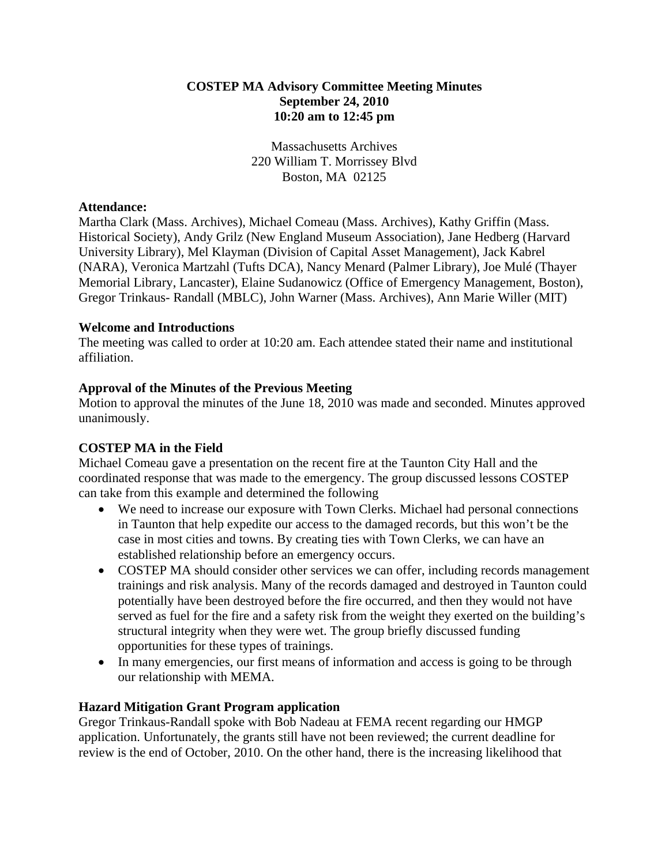## **COSTEP MA Advisory Committee Meeting Minutes September 24, 2010 10:20 am to 12:45 pm**

Massachusetts Archives 220 William T. Morrissey Blvd Boston, MA 02125

## **Attendance:**

Martha Clark (Mass. Archives), Michael Comeau (Mass. Archives), Kathy Griffin (Mass. Historical Society), Andy Grilz (New England Museum Association), Jane Hedberg (Harvard University Library), Mel Klayman (Division of Capital Asset Management), Jack Kabrel (NARA), Veronica Martzahl (Tufts DCA), Nancy Menard (Palmer Library), Joe Mulé (Thayer Memorial Library, Lancaster), Elaine Sudanowicz (Office of Emergency Management, Boston), Gregor Trinkaus- Randall (MBLC), John Warner (Mass. Archives), Ann Marie Willer (MIT)

## **Welcome and Introductions**

The meeting was called to order at 10:20 am. Each attendee stated their name and institutional affiliation.

# **Approval of the Minutes of the Previous Meeting**

Motion to approval the minutes of the June 18, 2010 was made and seconded. Minutes approved unanimously.

# **COSTEP MA in the Field**

Michael Comeau gave a presentation on the recent fire at the Taunton City Hall and the coordinated response that was made to the emergency. The group discussed lessons COSTEP can take from this example and determined the following

- We need to increase our exposure with Town Clerks. Michael had personal connections in Taunton that help expedite our access to the damaged records, but this won't be the case in most cities and towns. By creating ties with Town Clerks, we can have an established relationship before an emergency occurs.
- COSTEP MA should consider other services we can offer, including records management trainings and risk analysis. Many of the records damaged and destroyed in Taunton could potentially have been destroyed before the fire occurred, and then they would not have served as fuel for the fire and a safety risk from the weight they exerted on the building's structural integrity when they were wet. The group briefly discussed funding opportunities for these types of trainings.
- In many emergencies, our first means of information and access is going to be through our relationship with MEMA.

# **Hazard Mitigation Grant Program application**

Gregor Trinkaus-Randall spoke with Bob Nadeau at FEMA recent regarding our HMGP application. Unfortunately, the grants still have not been reviewed; the current deadline for review is the end of October, 2010. On the other hand, there is the increasing likelihood that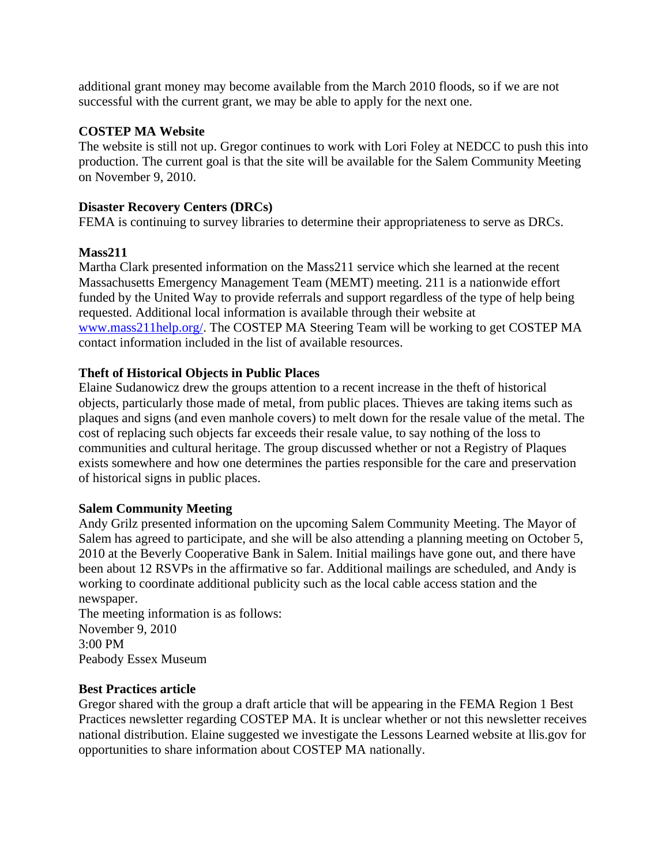additional grant money may become available from the March 2010 floods, so if we are not successful with the current grant, we may be able to apply for the next one.

## **COSTEP MA Website**

The website is still not up. Gregor continues to work with Lori Foley at NEDCC to push this into production. The current goal is that the site will be available for the Salem Community Meeting on November 9, 2010.

## **Disaster Recovery Centers (DRCs)**

FEMA is continuing to survey libraries to determine their appropriateness to serve as DRCs.

# **Mass211**

Martha Clark presented information on the Mass211 service which she learned at the recent Massachusetts Emergency Management Team (MEMT) meeting. 211 is a nationwide effort funded by the United Way to provide referrals and support regardless of the type of help being requested. Additional local information is available through their website at www.mass211help.org/. The COSTEP MA Steering Team will be working to get COSTEP MA contact information included in the list of available resources.

# **Theft of Historical Objects in Public Places**

Elaine Sudanowicz drew the groups attention to a recent increase in the theft of historical objects, particularly those made of metal, from public places. Thieves are taking items such as plaques and signs (and even manhole covers) to melt down for the resale value of the metal. The cost of replacing such objects far exceeds their resale value, to say nothing of the loss to communities and cultural heritage. The group discussed whether or not a Registry of Plaques exists somewhere and how one determines the parties responsible for the care and preservation of historical signs in public places.

#### **Salem Community Meeting**

Andy Grilz presented information on the upcoming Salem Community Meeting. The Mayor of Salem has agreed to participate, and she will be also attending a planning meeting on October 5, 2010 at the Beverly Cooperative Bank in Salem. Initial mailings have gone out, and there have been about 12 RSVPs in the affirmative so far. Additional mailings are scheduled, and Andy is working to coordinate additional publicity such as the local cable access station and the newspaper.

The meeting information is as follows: November 9, 2010 3:00 PM Peabody Essex Museum

#### **Best Practices article**

Gregor shared with the group a draft article that will be appearing in the FEMA Region 1 Best Practices newsletter regarding COSTEP MA. It is unclear whether or not this newsletter receives national distribution. Elaine suggested we investigate the Lessons Learned website at llis.gov for opportunities to share information about COSTEP MA nationally.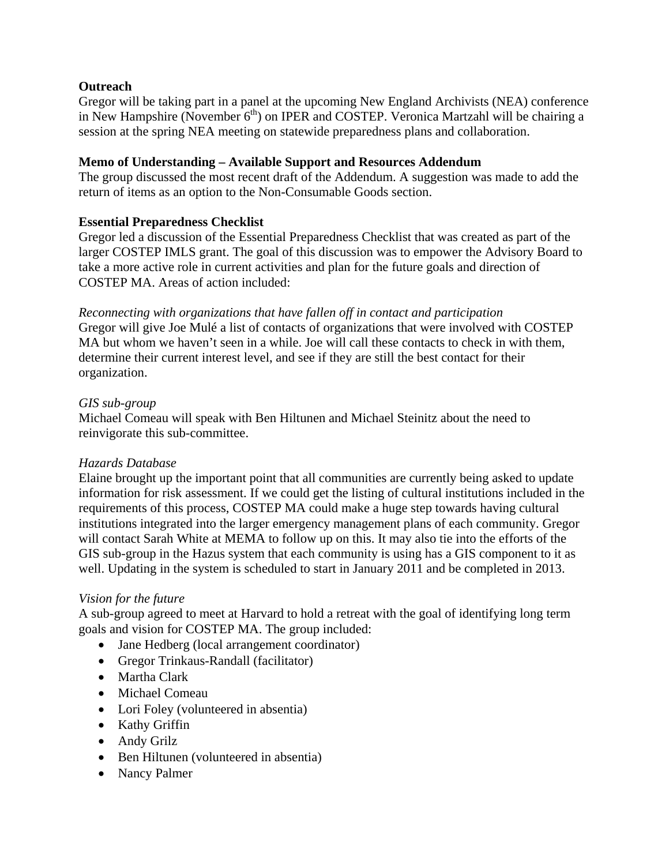# **Outreach**

Gregor will be taking part in a panel at the upcoming New England Archivists (NEA) conference in New Hampshire (November  $6<sup>th</sup>$ ) on IPER and COSTEP. Veronica Martzahl will be chairing a session at the spring NEA meeting on statewide preparedness plans and collaboration.

### **Memo of Understanding – Available Support and Resources Addendum**

The group discussed the most recent draft of the Addendum. A suggestion was made to add the return of items as an option to the Non-Consumable Goods section.

## **Essential Preparedness Checklist**

Gregor led a discussion of the Essential Preparedness Checklist that was created as part of the larger COSTEP IMLS grant. The goal of this discussion was to empower the Advisory Board to take a more active role in current activities and plan for the future goals and direction of COSTEP MA. Areas of action included:

*Reconnecting with organizations that have fallen off in contact and participation*  Gregor will give Joe Mulé a list of contacts of organizations that were involved with COSTEP MA but whom we haven't seen in a while. Joe will call these contacts to check in with them, determine their current interest level, and see if they are still the best contact for their organization.

#### *GIS sub-group*

Michael Comeau will speak with Ben Hiltunen and Michael Steinitz about the need to reinvigorate this sub-committee.

#### *Hazards Database*

Elaine brought up the important point that all communities are currently being asked to update information for risk assessment. If we could get the listing of cultural institutions included in the requirements of this process, COSTEP MA could make a huge step towards having cultural institutions integrated into the larger emergency management plans of each community. Gregor will contact Sarah White at MEMA to follow up on this. It may also tie into the efforts of the GIS sub-group in the Hazus system that each community is using has a GIS component to it as well. Updating in the system is scheduled to start in January 2011 and be completed in 2013.

#### *Vision for the future*

A sub-group agreed to meet at Harvard to hold a retreat with the goal of identifying long term goals and vision for COSTEP MA. The group included:

- Jane Hedberg (local arrangement coordinator)
- Gregor Trinkaus-Randall (facilitator)
- Martha Clark
- Michael Comeau
- Lori Foley (volunteered in absentia)
- Kathy Griffin
- Andy Grilz
- Ben Hiltunen (volunteered in absentia)
- Nancy Palmer